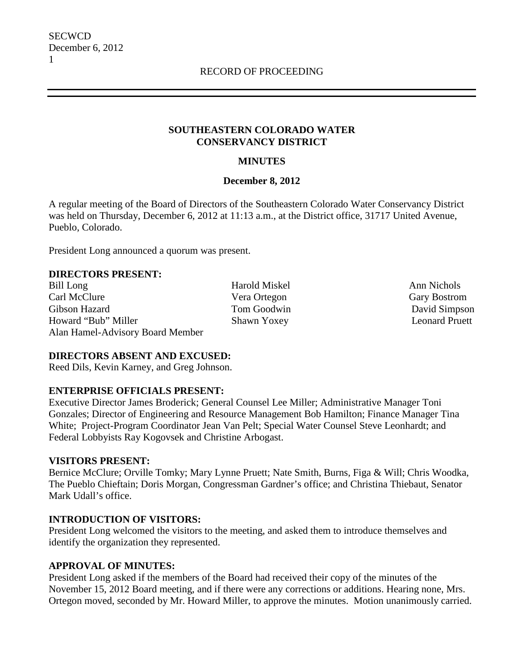### **SOUTHEASTERN COLORADO WATER CONSERVANCY DISTRICT**

## **MINUTES**

### **December 8, 2012**

A regular meeting of the Board of Directors of the Southeastern Colorado Water Conservancy District was held on Thursday, December 6, 2012 at 11:13 a.m., at the District office, 31717 United Avenue, Pueblo, Colorado.

President Long announced a quorum was present.

### **DIRECTORS PRESENT:**

Bill Long Harold Miskel Ann Nichols Carl McClure Vera Ortegon Gary Bostrom Gibson Hazard Tom Goodwin David Simpson Howard "Bub" Miller Shawn Yoxey Leonard Pruett Alan Hamel-Advisory Board Member

### **DIRECTORS ABSENT AND EXCUSED:**

Reed Dils, Kevin Karney, and Greg Johnson.

### **ENTERPRISE OFFICIALS PRESENT:**

Executive Director James Broderick; General Counsel Lee Miller; Administrative Manager Toni Gonzales; Director of Engineering and Resource Management Bob Hamilton; Finance Manager Tina White; Project-Program Coordinator Jean Van Pelt; Special Water Counsel Steve Leonhardt; and Federal Lobbyists Ray Kogovsek and Christine Arbogast.

### **VISITORS PRESENT:**

Bernice McClure; Orville Tomky; Mary Lynne Pruett; Nate Smith, Burns, Figa & Will; Chris Woodka, The Pueblo Chieftain; Doris Morgan, Congressman Gardner's office; and Christina Thiebaut, Senator Mark Udall's office.

### **INTRODUCTION OF VISITORS:**

President Long welcomed the visitors to the meeting, and asked them to introduce themselves and identify the organization they represented.

### **APPROVAL OF MINUTES:**

President Long asked if the members of the Board had received their copy of the minutes of the November 15, 2012 Board meeting, and if there were any corrections or additions. Hearing none, Mrs. Ortegon moved, seconded by Mr. Howard Miller, to approve the minutes. Motion unanimously carried.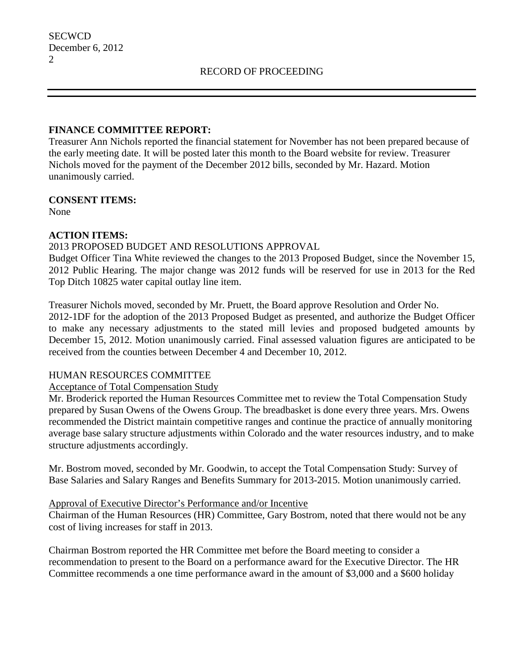### **FINANCE COMMITTEE REPORT:**

Treasurer Ann Nichols reported the financial statement for November has not been prepared because of the early meeting date. It will be posted later this month to the Board website for review. Treasurer Nichols moved for the payment of the December 2012 bills, seconded by Mr. Hazard. Motion unanimously carried.

# **CONSENT ITEMS:**

None

# **ACTION ITEMS:**

# 2013 PROPOSED BUDGET AND RESOLUTIONS APPROVAL

Budget Officer Tina White reviewed the changes to the 2013 Proposed Budget, since the November 15, 2012 Public Hearing. The major change was 2012 funds will be reserved for use in 2013 for the Red Top Ditch 10825 water capital outlay line item.

Treasurer Nichols moved, seconded by Mr. Pruett, the Board approve Resolution and Order No. 2012-1DF for the adoption of the 2013 Proposed Budget as presented, and authorize the Budget Officer to make any necessary adjustments to the stated mill levies and proposed budgeted amounts by December 15, 2012. Motion unanimously carried. Final assessed valuation figures are anticipated to be received from the counties between December 4 and December 10, 2012.

# HUMAN RESOURCES COMMITTEE

Acceptance of Total Compensation Study

Mr. Broderick reported the Human Resources Committee met to review the Total Compensation Study prepared by Susan Owens of the Owens Group. The breadbasket is done every three years. Mrs. Owens recommended the District maintain competitive ranges and continue the practice of annually monitoring average base salary structure adjustments within Colorado and the water resources industry, and to make structure adjustments accordingly.

Mr. Bostrom moved, seconded by Mr. Goodwin, to accept the Total Compensation Study: Survey of Base Salaries and Salary Ranges and Benefits Summary for 2013-2015. Motion unanimously carried.

### Approval of Executive Director's Performance and/or Incentive

Chairman of the Human Resources (HR) Committee, Gary Bostrom, noted that there would not be any cost of living increases for staff in 2013.

Chairman Bostrom reported the HR Committee met before the Board meeting to consider a recommendation to present to the Board on a performance award for the Executive Director. The HR Committee recommends a one time performance award in the amount of \$3,000 and a \$600 holiday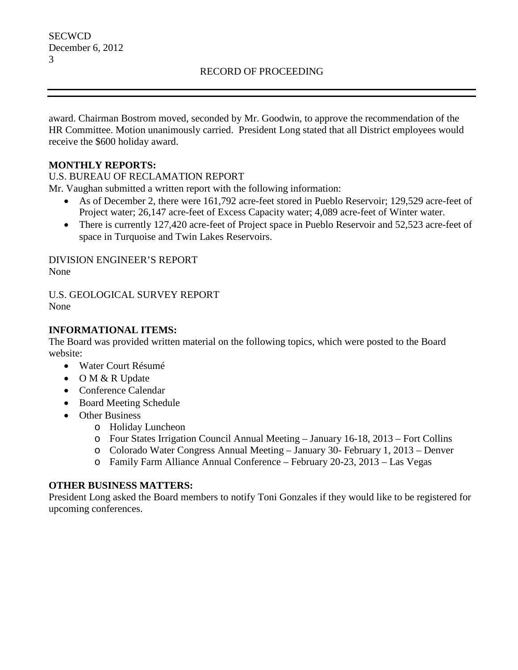award. Chairman Bostrom moved, seconded by Mr. Goodwin, to approve the recommendation of the HR Committee. Motion unanimously carried. President Long stated that all District employees would receive the \$600 holiday award.

## **MONTHLY REPORTS:**

## U.S. BUREAU OF RECLAMATION REPORT

Mr. Vaughan submitted a written report with the following information:

- As of December 2, there were 161,792 acre-feet stored in Pueblo Reservoir; 129,529 acre-feet of Project water; 26,147 acre-feet of Excess Capacity water; 4,089 acre-feet of Winter water.
- There is currently 127,420 acre-feet of Project space in Pueblo Reservoir and 52,523 acre-feet of space in Turquoise and Twin Lakes Reservoirs.

DIVISION ENGINEER'S REPORT None

U.S. GEOLOGICAL SURVEY REPORT None

## **INFORMATIONAL ITEMS:**

The Board was provided written material on the following topics, which were posted to the Board website:

- Water Court Résumé
- O M & R Update
- Conference Calendar
- Board Meeting Schedule
- Other Business
	- o Holiday Luncheon
	- o Four States Irrigation Council Annual Meeting January 16-18, 2013 Fort Collins
	- o Colorado Water Congress Annual Meeting January 30- February 1, 2013 Denver
	- o Family Farm Alliance Annual Conference February 20-23, 2013 Las Vegas

### **OTHER BUSINESS MATTERS:**

President Long asked the Board members to notify Toni Gonzales if they would like to be registered for upcoming conferences.